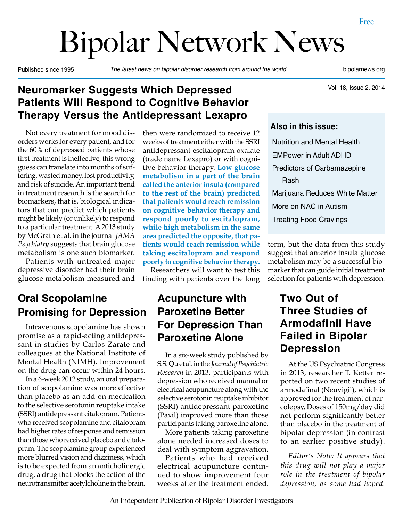# Bipolar Network News

Published since 1995 *The latest news on bipolar disorder research from around the world* bipolarnews.org

Vol. 18, Issue 2, 2014

#### **Neuromarker Suggests Which Depressed Patients Will Respond to Cognitive Behavior Therapy Versus the Antidepressant Lexapro**

Not every treatment for mood disorders works for every patient, and for the 60% of depressed patients whose first treatment is ineffective, this wrong guess can translate into months of suffering, wasted money, lost productivity, and risk of suicide. An important trend in treatment research is the search for biomarkers, that is, biological indicators that can predict which patients might be likely (or unlikely) to respond to a particular treatment. A 2013 study by McGrath et al. in the journal *JAMA Psychiatry* suggests that brain glucose metabolism is one such biomarker.

Patients with untreated major depressive disorder had their brain glucose metabolism measured and

## **Oral Scopolamine Promising for Depression**

Intravenous scopolamine has shown promise as a rapid-acting antidepressant in studies by Carlos Zarate and colleagues at the National Institute of Mental Health (NIMH). Improvement on the drug can occur within 24 hours.

In a 6-week 2012 study, an oral preparation of scopolamine was more effective than placebo as an add-on medication to the selective serotonin reuptake intake (SSRI) antidepressant citalopram. Patients who received scopolamine and citalopram had higher rates of response and remission than those who received placebo and citalopram. The scopolamine group experienced more blurred vision and dizziness, which is to be expected from an anticholinergic drug, a drug that blocks the action of the neurotransmitter acetylcholine in the brain.

then were randomized to receive 12 weeks of treatment either with the SSRI antidepressant escitalopram oxalate (trade name Lexapro) or with cognitive behavior therapy. **Low glucose metabolism in a part of the brain called the anterior insula (compared to the rest of the brain) predicted that patients would reach remission on cognitive behavior therapy and respond poorly to escitalopram, while high metabolism in the same area predicted the opposite, that patients would reach remission while taking escitalopram and respond poorly to cognitive behavior therapy.**

Researchers will want to test this finding with patients over the long

#### **Acupuncture with Paroxetine Better For Depression Than Paroxetine Alone**

In a six-week study published by S.S. Qu et al. in the *Journal of Psychiatric Research* in 2013, participants with depression who received manual or electrical acupuncture along with the selective serotonin reuptake inhibitor (SSRI) antidepressant paroxetine (Paxil) improved more than those participants taking paroxetine alone.

More patients taking paroxetine alone needed increased doses to deal with symptom aggravation.

Patients who had received electrical acupuncture continued to show improvement four weeks after the treatment ended.

#### **Also in this issue:**

Nutrition and Mental Health EMPower in Adult ADHD Predictors of Carbamazepine Rash Marijuana Reduces White Matter More on NAC in Autism Treating Food Cravings

term, but the data from this study suggest that anterior insula glucose metabolism may be a successful biomarker that can guide initial treatment selection for patients with depression.

#### **Two Out of Three Studies of Armodafinil Have Failed in Bipolar Depression**

At the US Psychiatric Congress in 2013, researcher T. Ketter reported on two recent studies of armodafinal (Neuvigil), which is approved for the treatment of narcolepsy. Doses of 150mg/day did not perform significantly better than placebo in the treatment of bipolar depression (in contrast to an earlier positive study).

*Editor's Note: It appears that this drug will not play a major role in the treatment of bipolar depression, as some had hoped.*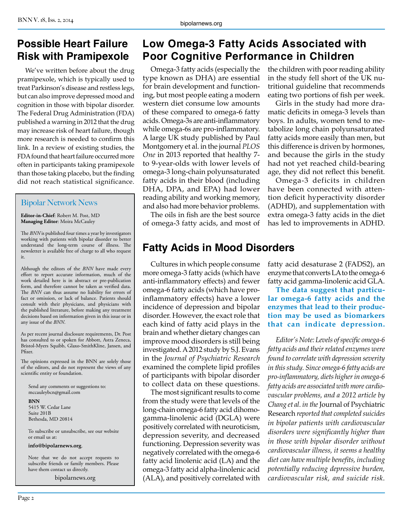#### **Possible Heart Failure Risk with Pramipexole**

We've written before about the drug pramipexole, which is typically used to treat Parkinson's disease and restless legs, but can also improve depressed mood and cognition in those with bipolar disorder. The Federal Drug Administration (FDA) published a warning in 2012 that the drug may increase risk of heart failure, though more research is needed to confirm this link. In a review of existing studies, the FDA found that heart failure occurred more often in participants taking pramipexole than those taking placebo, but the finding did not reach statistical significance.

#### Bipolar Network News

**Editor-in-Chief**: Robert M. Post, MD **Managing Editor**: Moira McCauley

The *BNN* is published four times a year by investigators working with patients with bipolar disorder to better understand the long-term course of illness. The newsletter is available free of charge to all who request it.

Although the editors of the *BNN* have made every effort to report accurate information, much of the work detailed here is in abstract or pre-publication form, and therefore cannot be taken as verified data. The *BNN* can thus assume no liability for errors of fact or omission, or lack of balance. Patients should consult with their physicians, and physicians with the published literature, before making any treatment decisions based on information given in this issue or in any issue of the *BNN*.

As per recent journal disclosure requirements, Dr. Post has consulted to or spoken for Abbott, Astra Zeneca, Bristol-Myers Squibb, Glaxo-SmithKline, Jansen, and Pfizer.

The opinions expressed in the BNN are solely those of the editors, and do not represent the views of any scientific entity or foundation.

Send any comments or suggestions to: mccauleybcn@gmail.com

**BNN** 5415 W. Cedar Lane Suite 201B Bethesda, MD 20814

To subscribe or unsubscribe, see our website or email us at:

**info@bipolarnews.org**.

Note that we do not accept requests to subscribe friends or family members. Please have them contact us directly.

bipolarnews.org

#### **Low Omega-3 Fatty Acids Associated with Poor Cognitive Performance in Children**

Omega-3 fatty acids (especially the type known as DHA) are essential for brain development and functioning, but most people eating a modern western diet consume low amounts of these compared to omega-6 fatty acids. Omega-3s are anti-inflammatory while omega-6s are pro-inflammatory. A large UK study published by Paul Montgomery et al. in the journal *PLOS One* in 2013 reported that healthy 7 to 9-year-olds with lower levels of omega-3 long-chain polyunsaturated fatty acids in their blood (including DHA, DPA, and EPA) had lower reading ability and working memory, and also had more behavior problems.

The oils in fish are the best source of omega-3 fatty acids, and most of

### **Fatty Acids in Mood Disorders**

Cultures in which people consume more omega-3 fatty acids (which have anti-inflammatory effects) and fewer omega-6 fatty acids (which have proinflammatory effects) have a lower incidence of depression and bipolar disorder. However, the exact role that each kind of fatty acid plays in the brain and whether dietary changes can improve mood disorders is still being investigated. A 2012 study by S.J. Evans in the *Journal of Psychiatric Research* examined the complete lipid profiles of participants with bipolar disorder to collect data on these questions.

The most significant results to come from the study were that levels of the long-chain omega-6 fatty acid dihomogamma-linolenic acid (DGLA) were positively correlated with neuroticism, depression severity, and decreased functioning. Depression severity was negatively correlated with the omega-6 fatty acid linolenic acid (LA) and the omega-3 fatty acid alpha-linolenic acid (ALA), and positively correlated with the children with poor reading ability in the study fell short of the UK nutritional guideline that recommends eating two portions of fish per week.

Girls in the study had more dramatic deficits in omega-3 levels than boys. In adults, women tend to metabolize long chain polyunsaturated fatty acids more easily than men, but this difference is driven by hormones, and because the girls in the study had not yet reached child-bearing age, they did not reflect this benefit.

Omega-3 deficits in children have been connected with attention deficit hyperactivity disorder (ADHD), and supplementation with extra omega-3 fatty acids in the diet has led to improvements in ADHD.

fatty acid desaturase 2 (FADS2), an enzyme that converts LA to the omega-6 fatty acid gamma-linolenic acid GLA.

**The data suggest that particular omega-6 fatty acids and the enzymes that lead to their production may be used as biomarkers that can indicate depression.**

*Editor's Note: Levels of specific omega-6 fatty acids and their related enzymes were found to correlate with depression severity in this study. Since omega-6 fatty acids are pro-inflammatory, diets higher in omega-6 fatty acids are associated with more cardiovascular problems, and a 2012 article by Chang et al. in the* Journal of Psychiatric Research *reported that completed suicides in bipolar patients with cardiovascular disorders were significantly higher than in those with bipolar disorder without cardiovascular illness, it seems a healthy diet can have multiple benefits, including potentially reducing depressive burden, cardiovascular risk, and suicide risk.*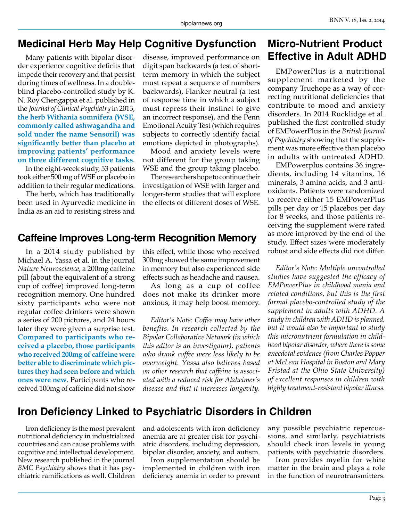#### **Medicinal Herb May Help Cognitive Dysfunction**

Many patients with bipolar disorder experience cognitive deficits that impede their recovery and that persist during times of wellness. In a doubleblind placebo-controlled study by K. N. Roy Chengappa et al. published in the *Journal of Clinical Psychiatry* in 2013, **the herb Withania somnifera (WSE, commonly called ashwagandha and sold under the name Sensoril) was significantly better than placebo at improving patients' performance on three different cognitive tasks**.

In the eight-week study, 53 patients took either 500 mg of WSE or placebo in addition to their regular medications.

The herb, which has traditionally been used in Ayurvedic medicine in India as an aid to resisting stress and

disease, improved performance on digit span backwards (a test of shortterm memory in which the subject must repeat a sequence of numbers backwards), Flanker neutral (a test of response time in which a subject must repress their instinct to give an incorrect response), and the Penn Emotional Acuity Test (which requires subjects to correctly identify facial emotions depicted in photographs).

Mood and anxiety levels were not different for the group taking WSE and the group taking placebo.

The researchers hope to continue their investigation of WSE with larger and longer-term studies that will explore the effects of different doses of WSE.

#### **Caffeine Improves Long-term Recognition Memory**

In a 2014 study published by Michael A. Yassa et al. in the journal *Nature Neuroscience*, a 200mg caffeine pill (about the equivalent of a strong cup of coffee) improved long-term recognition memory. One hundred sixty participants who were not regular coffee drinkers were shown a series of 200 pictures, and 24 hours later they were given a surprise test. **Compared to participants who received a placebo, those participants who received 200mg of caffeine were better able to discriminate which pictures they had seen before and which ones were new.** Participants who received 100mg of caffeine did not show

this effect, while those who received 300mg showed the same improvement in memory but also experienced side effects such as headache and nausea.

As long as a cup of coffee does not make its drinker more anxious, it may help boost memory.

*Editor's Note: Coffee may have other benefits. In research collected by the Bipolar Collaborative Network (in which this editor is an investigator), patients who drank coffee were less likely to be overweight. Yassa also believes based on other research that caffeine is associated with a reduced risk for Alzheimer's disease and that it increases longevity.*

### **Micro-Nutrient Product Effective in Adult ADHD**

EMPowerPlus is a nutritional supplement marketed by the company Truehope as a way of correcting nutritional deficiencies that contribute to mood and anxiety disorders. In 2014 Rucklidge et al. published the first controlled study of EMPowerPlus in the *British Journal of Psychiatry* showing that the supplement was more effective than placebo in adults with untreated ADHD.

EMPowerplus contains 36 ingredients, including 14 vitamins, 16 minerals, 3 amino acids, and 3 antioxidants. Patients were randomized to receive either 15 EMPowerPlus pills per day or 15 placebos per day for 8 weeks, and those patients receiving the supplement were rated as more improved by the end of the study. Effect sizes were moderately robust and side effects did not differ.

*Editor's Note: Multiple uncontrolled studies have suggested the efficacy of EMPowerPlus in childhood mania and related conditions, but this is the first formal placebo-controlled study of the supplement in adults with ADHD. A study in children with ADHD is planned, but it would also be important to study this micronutrient formulation in childhood bipolar disorder, where there is some anecdotal evidence (from Charles Popper at McLean Hospital in Boston and Mary Fristad at the Ohio State University) of excellent responses in children with highly treatment-resistant bipolar illness.*

#### **Iron Deficiency Linked to Psychiatric Disorders in Children**

Iron deficiency is the most prevalent nutritional deficiency in industrialized countries and can cause problems with cognitive and intellectual development. New research published in the journal *BMC Psychiatry* shows that it has psychiatric ramifications as well. Children

and adolescents with iron deficiency anemia are at greater risk for psychiatric disorders, including depression, bipolar disorder, anxiety, and autism.

Iron supplementation should be implemented in children with iron deficiency anemia in order to prevent any possible psychiatric repercussions, and similarly, psychiatrists should check iron levels in young patients with psychiatric disorders.

Iron provides myelin for white matter in the brain and plays a role in the function of neurotransmitters.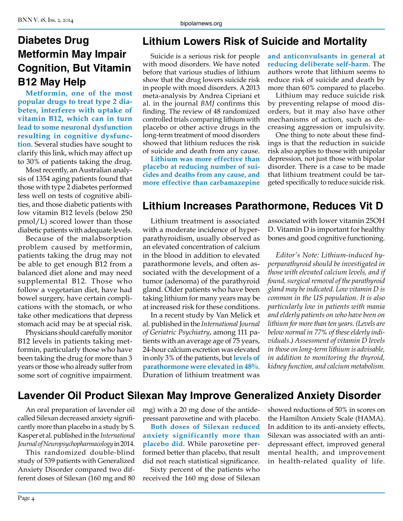## **Diabetes Drug Metformin May Impair Cognition, But Vitamin B12 May Help**

**Metformin, one of the most popular drugs to treat type 2 diabetes, interferes with uptake of vitamin B12, which can in turn lead to some neuronal dysfunction resulting in cognitive dysfunction**. Several studies have sought to clarify this link, which may affect up to 30% of patients taking the drug.

Most recently, an Australian analysis of 1354 aging patients found that those with type 2 diabetes performed less well on tests of cognitive abilities, and those diabetic patients with low vitamin B12 levels (below 250 pmol/L) scored lower than those diabetic patients with adequate levels.

Because of the malabsorption problem caused by metformin, patients taking the drug may not be able to get enough B12 from a balanced diet alone and may need supplemental B12. Those who follow a vegetarian diet, have had bowel surgery, have certain complications with the stomach, or who take other medications that depress stomach acid may be at special risk.

Physicians should carefully monitor B12 levels in patients taking metformin, particularly those who have been taking the drug for more than 3 years or those who already suffer from some sort of cognitive impairment.

## **Lithium Lowers Risk of Suicide and Mortality**

Suicide is a serious risk for people with mood disorders. We have noted before that various studies of lithium show that the drug lowers suicide risk in people with mood disorders. A 2013 meta-analysis by Andrea Cipriani et al. in the journal *BMJ* confirms this finding. The review of 48 randomized controlled trials comparing lithium with placebo or other active drugs in the long-term treatment of mood disorders showed that lithium reduces the risk of suicide and death from any cause.

**Lithium was more effective than placebo at reducing number of suicides and deaths from any cause, and more effective than carbamazepine** 

**and anticonvulsants in general at reducing deliberate self-harm**. The authors wrote that lithium seems to reduce risk of suicide and death by more than 60% compared to placebo.

Lithium may reduce suicide risk by preventing relapse of mood disorders, but it may also have other mechanisms of action, such as decreasing aggression or impulsivity.

One thing to note about these findings is that the reduction in suicide risk also applies to those with unipolar depression, not just those with bipolar disorder. There is a case to be made that lithium treatment could be targeted specifically to reduce suicide risk.

## **Lithium Increases Parathormone, Reduces Vit D**

Lithium treatment is associated with a moderate incidence of hyperparathyroidism, usually observed as an elevated concentration of calcium in the blood in addition to elevated parathormone levels, and often associated with the development of a tumor (adenoma) of the parathyroid gland. Older patients who have been taking lithium for many years may be at increased risk for these conditions.

In a recent study by Van Melick et al. published in the *International Journal of Geriatric Psychiatry*, among 111 patients with an average age of 75 years, 24-hour calcium excretion was elevated in only 3% of the patients, but **levels of parathormone were elevated in 48%**. Duration of lithium treatment was

associated with lower vitamin 25OH D. Vitamin D is important for healthy bones and good cognitive functioning.

*Editor's Note: Lithium-induced hyperparathyroid should be investigated in those with elevated calcium levels, and if found, surgical removal of the parathyroid gland may be indicated. Low vitamin D is common in the US population. It is also particularly low in patients with mania and elderly patients on who have been on lithium for more than ten years. (Levels are below normal in 77% of these elderly individuals.) Assessment of vitamin D levels in those on long-term lithium is advisable, in addition to monitoring the thyroid, kidney function, and calcium metabolism.*

## **Lavender Oil Product Silexan May Improve Generalized Anxiety Disorder**

An oral preparation of lavender oil called Silexan decreased anxiety significantly more than placebo in a study by S. Kasper et al. published in the *International Journal of Neuropsychopharmacology* in 2014.

This randomized double-blind study of 539 patients with Generalized Anxiety Disorder compared two different doses of Silexan (160 mg and 80 mg) with a 20 mg dose of the antidepressant paroxetine and with placebo.

**Both doses of Silexan reduced anxiety significantly more than placebo did**. While paroxetine performed better than placebo, that result did not reach statistical significance.

Sixty percent of the patients who received the 160 mg dose of Silexan showed reductions of 50% in scores on the Hamilton Anxiety Scale (HAMA). In addition to its anti-anxiety effects, Silexan was associated with an antidepressant effect, improved general mental health, and improvement in health-related quality of life.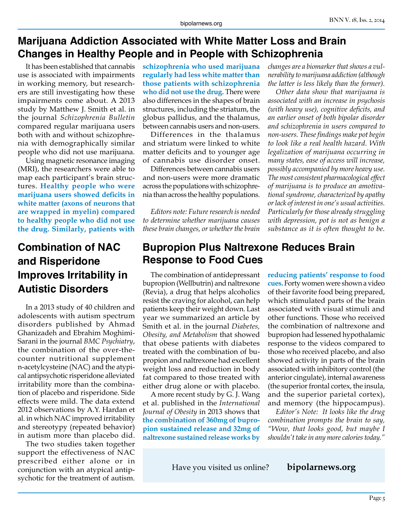#### **Marijuana Addiction Associated with White Matter Loss and Brain Changes in Healthy People and in People with Schizophrenia**

It has been established that cannabis use is associated with impairments in working memory, but researchers are still investigating how these impairments come about. A 2013 study by Matthew J. Smith et al. in the journal *Schizophrenia Bulletin* compared regular marijuana users both with and without schizophrenia with demographically similar people who did not use marijuana.

Using magnetic resonance imaging (MRI), the researchers were able to map each participant's brain structures. **Healthy people who were marijuana users showed deficits in white matter (axons of neurons that are wrapped in myelin) compared to healthy people who did not use the drug. Similarly, patients with** 

## **Combination of NAC and Risperidone Improves Irritability in Autistic Disorders**

In a 2013 study of 40 children and adolescents with autism spectrum disorders published by Ahmad Ghanizadeh and Ebrahim Moghimi-Sarani in the journal *BMC Psychiatry*, the combination of the over-thecounter nutritional supplement n-acetylcysteine (NAC) and the atypical antipsychotic risperidone alleviated irritability more than the combination of placebo and risperidone. Side effects were mild. The data extend 2012 observations by A.Y. Hardan et al. in which NAC improved irritability and stereotypy (repeated behavior) in autism more than placebo did.

The two studies taken together support the effectiveness of NAC prescribed either alone or in conjunction with an atypical antipsychotic for the treatment of autism.

**schizophrenia who used marijuana regularly had less white matter than those patients with schizophrenia who did not use the drug.** There were also differences in the shapes of brain structures, including the striatum, the globus pallidus, and the thalamus, between cannabis users and non-users.

Differences in the thalamus and striatum were linked to white matter deficits and to younger age of cannabis use disorder onset.

Differences between cannabis users and non-users were more dramatic across the populations with schizophrenia than across the healthy populations.

*Editors note: Future research is needed to determine whether marijuana causes these brain changes, or whether the brain* 

#### **Bupropion Plus Naltrexone Reduces Brain Response to Food Cues**

The combination of antidepressant bupropion (Wellbutrin) and naltrexone (Revia), a drug that helps alcoholics resist the craving for alcohol, can help patients keep their weight down. Last year we summarized an article by Smith et al. in the journal *Diabetes, Obesity, and Metabolism* that showed that obese patients with diabetes treated with the combination of bupropion and naltrexone had excellent weight loss and reduction in body fat compared to those treated with either drug alone or with placebo.

A more recent study by G. J. Wang et al. published in the *International Journal of Obesity* in 2013 shows that **the combination of 360mg of bupropion sustained release and 32mg of naltrexone sustained release works by** 

*changes are a biomarker that shows a vulnerability to marijuana addiction (although the latter is less likely than the former).*

*Other data show that marijuana is associated with an increase in psychosis (with heavy use), cognitive deficits, and an earlier onset of both bipolar disorder and schizophrenia in users compared to non-users. These findings make pot begin to look like a real health hazard. With legalization of marijuana occurring in many states, ease of access will increase, possibly accompanied by more heavy use. The most consistent pharmacological effect of marijuana is to produce an amotivational syndrome, characterized by apathy or lack of interest in one's usual activities. Particularly for those already struggling with depression, pot is not as benign a substance as it is often thought to be.*

**reducing patients' response to food cues.** Forty women were shown a video of their favorite food being prepared, which stimulated parts of the brain associated with visual stimuli and other functions. Those who received the combination of naltrexone and bupropion had lessened hypothalamic response to the videos compared to those who received placebo, and also showed activity in parts of the brain associated with inhibitory control (the anterior cingulate), internal awareness (the superior frontal cortex, the insula, and the superior parietal cortex), and memory (the hippocampus).

*Editor's Note: It looks like the drug combination prompts the brain to say, "Wow, that looks good, but maybe I shouldn't take in any more calories today."*

Have you visited us online? **bipolarnews.org**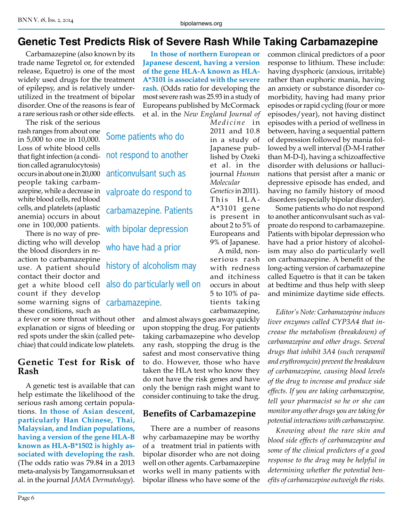#### **Genetic Test Predicts Risk of Severe Rash While Taking Carbamazepine**

Carbamazepine (also known by its trade name Tegretol or, for extended release, Equetro) is one of the most widely used drugs for the treatment of epilepsy, and is relatively underutilized in the treatment of bipolar disorder. One of the reasons is fear of a rare serious rash or other side effects.

The risk of the serious rash ranges from about one in 5,000 to one in 10,000. Loss of white blood cells that fight infection (a condition called agranulocytosis) occurs in about one in 20,000 people taking carbamwhite blood cells, red blood cells, and platelets (aplastic anemia) occurs in about one in 100,000 patients.

There is no way of predicting who will develop the blood disorders in reaction to carbamazepine use. A patient should contact their doctor and get a white blood cell count if they develop some warning signs of carbamazepine. these conditions, such as

a fever or sore throat without other explanation or signs of bleeding or red spots under the skin (called petechiae) that could indicate low platelets.

#### **Genetic Test for Risk of Rash**

A genetic test is available that can help estimate the likelihood of the serious rash among certain populations. **In those of Asian descent, particularly Han Chinese, Thai, Malaysian, and Indian populations, having a version of the gene HLA-B known as HLA-B\*1502 is highly associated with developing the rash**. (The odds ratio was 79.84 in a 2013 meta-analysis by Tangamornsuksan et al. in the journal *JAMA Dermatology*).

**In those of northern European or Japanese descent, having a version of the gene HLA-A known as HLA-A\*3101 is associated with the severe rash**. (Odds ratio for developing the most severe rash was 25.93 in a study of Europeans published by McCormack et al. in the *New England Journal of* 

> *Medicine* in 2011 and 10.8 in a study of Japanese published by Ozeki et al. in the journal *Human Molecular*

> *Genetics* in 2011). This HLA-A\*3101 gene is present in about 2 to 5% of Europeans and 9% of Japanese. A mild, nonserious rash with redness and itchiness occurs in about 5 to 10% of patients taking

azepine, while a decrease in valproate do respond to Some patients who do not respond to another anticonvulsant such as carbamazepine. Patients with bipolar depression who have had a prior history of alcoholism may also do particularly well on

> carbamazepine, and almost always goes away quickly upon stopping the drug. For patients taking carbamazepine who develop any rash, stopping the drug is the safest and most conservative thing to do. However, those who have taken the HLA test who know they do not have the risk genes and have only the benign rash might want to consider continuing to take the drug.

#### **Benefits of Carbamazepine**

There are a number of reasons why carbamazepine may be worthy of a treatment trial in patients with bipolar disorder who are not doing well on other agents. Carbamazepine works well in many patients with bipolar illness who have some of the common clinical predictors of a poor response to lithium. These include: having dysphoric (anxious, irritable) rather than euphoric mania, having an anxiety or substance disorder comorbidity, having had many prior episodes or rapid cycling (four or more episodes/year), not having distinct episodes with a period of wellness in between, having a sequential pattern of depression followed by mania followed by a well interval (D-M-I rather than M-D-I), having a schizoaffective disorder with delusions or hallucinations that persist after a manic or depressive episode has ended, and having no family history of mood disorders (especially bipolar disorder).

Some patients who do not respond to another anticonvulsant such as valproate do respond to carbamazepine. Patients with bipolar depression who have had a prior history of alcoholism may also do particularly well on carbamazepine. A benefit of the long-acting version of carbamazepine called Equetro is that it can be taken at bedtime and thus help with sleep and minimize daytime side effects.

*Editor's Note: Carbamazepine induces liver enzymes called CYP3A4 that increase the metabolism (breakdown) of carbamazepine and other drugs. Several drugs that inhibit 3A4 (such verapamil and erythromycin) prevent the breakdown of carbamazepine, causing blood levels of the drug to increase and produce side effects. If you are taking carbamazepine, tell your pharmacist so he or she can monitor any other drugs you are taking for potential interactions with carbamazepine.*

*Knowing about the rare skin and blood side effects of carbamazepine and some of the clinical predictors of a good response to the drug may be helpful in determining whether the potential benefits of carbamazepine outweigh the risks.*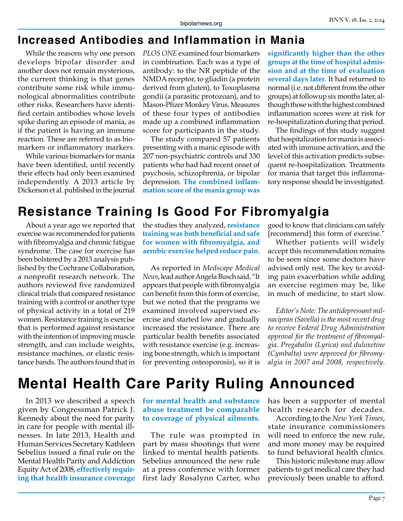#### **Increased Antibodies and Inflammation in Mania**

While the reasons why one person develops bipolar disorder and another does not remain mysterious, the current thinking is that genes contribute some risk while immunological abnormalities contribute other risks. Researchers have identified certain antibodies whose levels spike during an episode of mania, as if the patient is having an immune reaction. These are referred to as biomarkers or inflammatory markers.

While various biomarkers for mania have been identified, until recently their effects had only been examined independently. A 2013 article by Dickerson et al. published in the journal *PLOS ONE* examined four biomarkers in combination. Each was a type of antibody: to the NR peptide of the NMDA receptor, to gliadin (a protein derived from gluten), to Toxoplasma gondii (a parasitic protozoan), and to Mason-Pfizer Monkey Virus. Measures of these four types of antibodies made up a combined inflammation score for participants in the study.

The study compared 57 patients presenting with a manic episode with 207 non-psychiatric controls and 330 patients who had had recent onset of psychosis, schizophrenia, or bipolar depression. **The combined inflammation score of the mania group was** 

**significantly higher than the other groups at the time of hospital admission and at the time of evaluation several days later**. It had returned to normal (i.e. not different from the other groups) at followup six months later, although those with the highest combined inflammation scores were at risk for re-hospitalization during that period.

The findings of this study suggest that hospitalization for mania is associated with immune activation, and the level of this activation predicts subsequent re-hospitalization. Treatments for mania that target this inflammatory response should be investigated.

## **Resistance Training Is Good For Fibromyalgia**

About a year ago we reported that exercise was recommended for patients with fibromyalgia and chronic fatigue syndrome. The case for exercise has been bolstered by a 2013 analysis published by the Cochrane Collaboration, a nonprofit research network. The authors reviewed five randomized clinical trials that compared resistance training with a control or another type of physical activity in a total of 219 women. Resistance training is exercise that is performed against resistance with the intention of improving muscle strength, and can include weights, resistance machines, or elastic resistance bands. The authors found that in

the studies they analyzed, **resistance training was both beneficial and safe for women with fibromyalgia, and aerobic exercise helped reduce pain**.

As reported in *Medscape Medical News*, lead author Angela Busch said, "It appears that people with fibromyalgia can benefit from this form of exercise, but we noted that the programs we examined involved supervised exercise and started low and gradually increased the resistance. There are particular health benefits associated with resistance exercise (e.g. increasing bone strength, which is important for preventing osteoporosis), so it is

good to know that clinicians can safely [recommend] this form of exercise."

Whether patients will widely accept this recommendation remains to be seen since some doctors have advised only rest. The key to avoiding pain exacerbation while adding an exercise regimen may be, like in much of medicine, to start slow.

*Editor's Note: The antidepressant milnacipran (Savella) is the most recent drug to receive Federal Drug Administration approval for the treatment of fibromyalgia. Pregabalin (Lyrica) and duloxetine (Cymbalta) were approved for fibromyalgia in 2007 and 2008, respectively.*

## **Mental Health Care Parity Ruling Announced**

In 2013 we described a speech given by Congressman Patrick J. Kennedy about the need for parity in care for people with mental illnesses. In late 2013, Health and Human Services Secretary Kathleen Sebelius issued a final rule on the Mental Health Parity and Addiction Equity Act of 2008, **effectively requiring that health insurance coverage** 

**for mental health and substance abuse treatment be comparable to coverage of physical ailments.**

The rule was prompted in part by mass shootings that were linked to mental health patients. Sebelius announced the new rule at a press conference with former first lady Rosalynn Carter, who

has been a supporter of mental health research for decades.

According to the *New York Times*, state insurance commissioners will need to enforce the new rule, and more money may be required to fund behavioral health clinics.

This historic milestone may allow patients to get medical care they had previously been unable to afford.